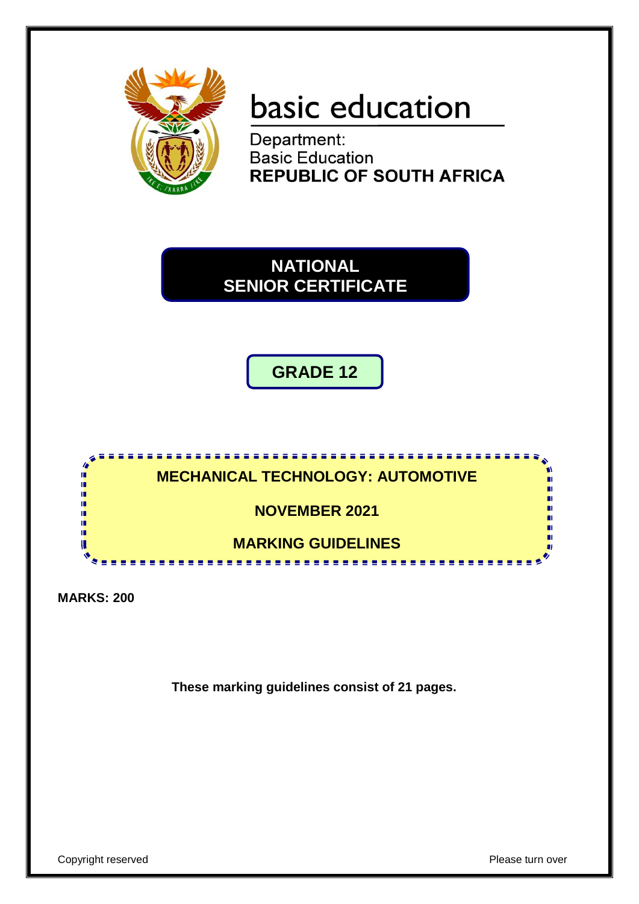

# basic education

Department: **Basic Education REPUBLIC OF SOUTH AFRICA** 

**NATIONAL SENIOR CERTIFICATE**

**GRADE 12**



**MARKS: 200**

**These marking guidelines consist of 21 pages.**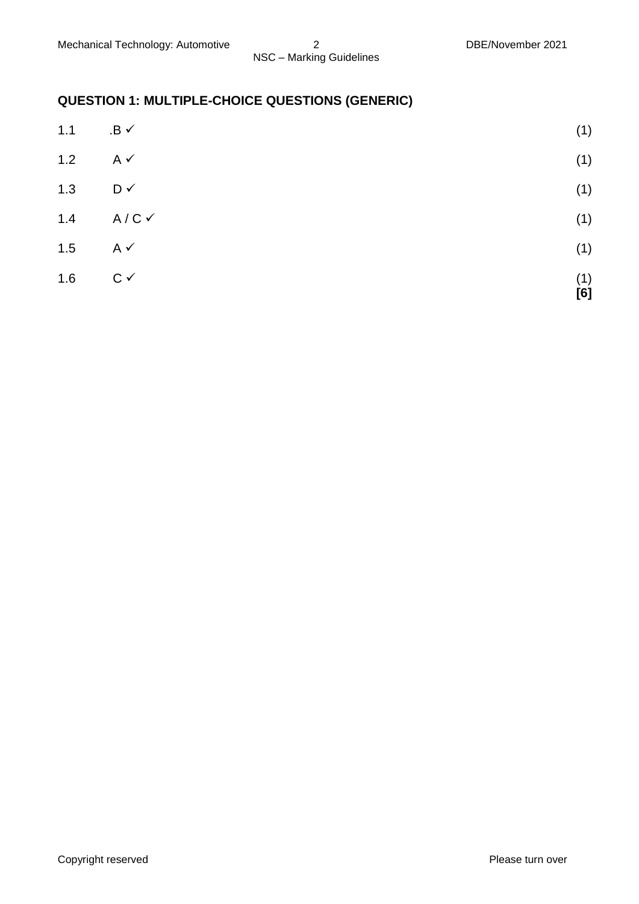# **QUESTION 1: MULTIPLE-CHOICE QUESTIONS (GENERIC)**

| 1.1 | $.B \checkmark$    | (1)        |
|-----|--------------------|------------|
| 1.2 | $A \vee$           | (1)        |
| 1.3 | $D \vee$           | (1)        |
| 1.4 | $A/C$ $\checkmark$ | (1)        |
| 1.5 | $A \vee$           | (1)        |
| 1.6 | $C \vee$           | (1)<br>[6] |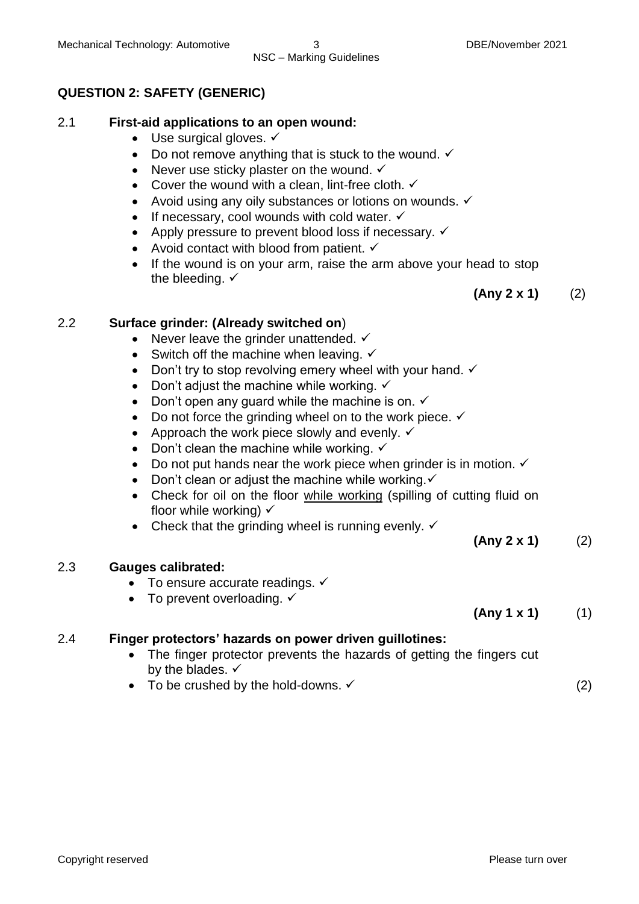### **QUESTION 2: SAFETY (GENERIC)**

# 2.1 **First-aid applications to an open wound:**

- $\bullet$  Use surgical gloves.  $\checkmark$
- Do not remove anything that is stuck to the wound.  $\checkmark$
- Never use sticky plaster on the wound.  $\checkmark$
- Cover the wound with a clean, lint-free cloth.  $\checkmark$
- Avoid using any oily substances or lotions on wounds.  $\checkmark$
- If necessary, cool wounds with cold water.  $\checkmark$
- Apply pressure to prevent blood loss if necessary.  $\checkmark$
- Avoid contact with blood from patient.  $\checkmark$
- If the wound is on your arm, raise the arm above your head to stop the bleeding.  $\checkmark$

**(Any 2 x 1)** (2)

# 2.2 **Surface grinder: (Already switched on**)

- Never leave the grinder unattended.  $\checkmark$
- Switch off the machine when leaving.  $\checkmark$
- Don't try to stop revolving emery wheel with your hand.  $\checkmark$
- Don't adjust the machine while working.  $\checkmark$
- Don't open any guard while the machine is on.  $\checkmark$
- $\bullet$  Do not force the grinding wheel on to the work piece.  $\checkmark$
- Approach the work piece slowly and evenly.  $\checkmark$
- Don't clean the machine while working.  $\checkmark$
- Do not put hands near the work piece when grinder is in motion.  $\checkmark$
- Don't clean or adjust the machine while working. $\checkmark$
- Check for oil on the floor while working (spilling of cutting fluid on floor while working)  $\checkmark$
- Check that the grinding wheel is running evenly.  $\checkmark$

# 2.3 **Gauges calibrated:**

- $\bullet$  To ensure accurate readings.  $\checkmark$
- To prevent overloading.  $\checkmark$

# **(Any 1 x 1)** (1)

**(Any 2 x 1)** (2)

# 2.4 **Finger protectors' hazards on power driven guillotines:**

- The finger protector prevents the hazards of getting the fingers cut by the blades.  $\checkmark$
- To be crushed by the hold-downs.  $\checkmark$  (2)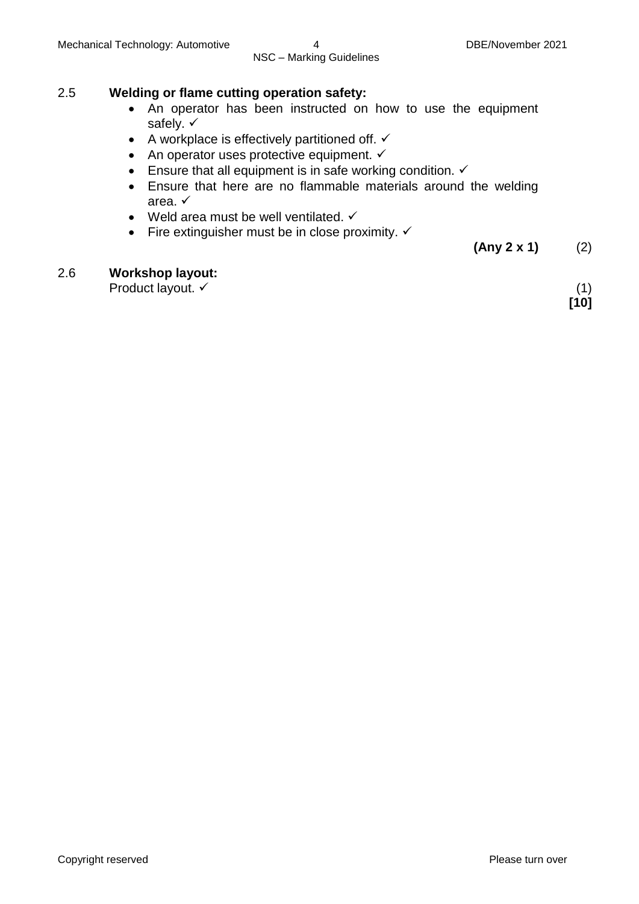#### 2.5 **Welding or flame cutting operation safety:**

- An operator has been instructed on how to use the equipment safely.  $\checkmark$
- A workplace is effectively partitioned off.  $\checkmark$
- $\bullet$  An operator uses protective equipment.  $\checkmark$
- Ensure that all equipment is in safe working condition.  $\checkmark$
- Ensure that here are no flammable materials around the welding area.
- Weld area must be well ventilated.  $\checkmark$
- Fire extinguisher must be in close proximity.  $\checkmark$

**(Any 2 x 1)** (2)

#### 2.6 **Workshop layout:**

Product layout.  $\checkmark$  (1)

**[10]**

Copyright reserved **Please** turn over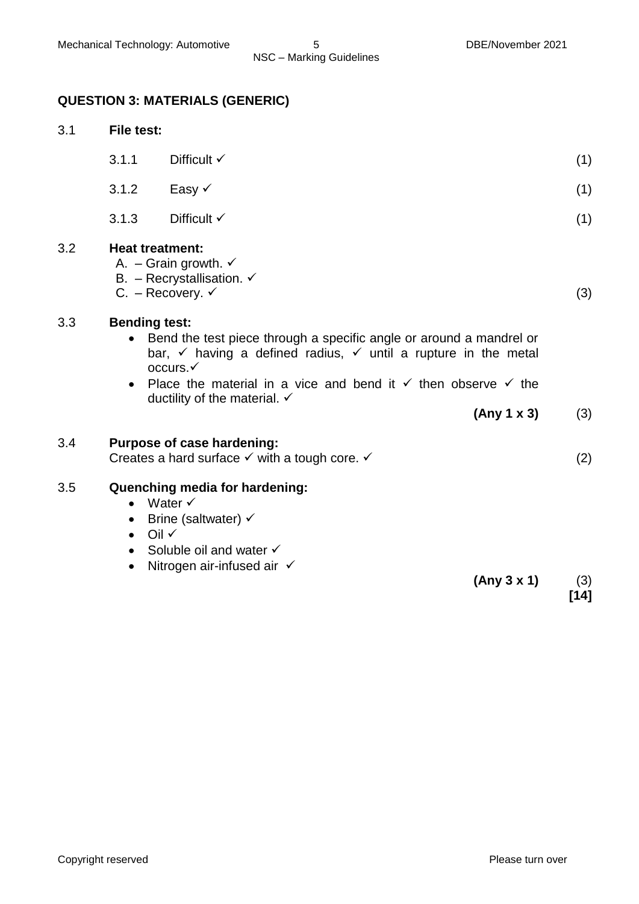# **QUESTION 3: MATERIALS (GENERIC)**

| 3.1 |                                                                                                                                                                                                                                                                                                                 | <b>File test:</b>                                                                                                                                                         |  |        |  |
|-----|-----------------------------------------------------------------------------------------------------------------------------------------------------------------------------------------------------------------------------------------------------------------------------------------------------------------|---------------------------------------------------------------------------------------------------------------------------------------------------------------------------|--|--------|--|
|     | 3.1.1                                                                                                                                                                                                                                                                                                           | Difficult $\checkmark$                                                                                                                                                    |  | (1)    |  |
|     | 3.1.2                                                                                                                                                                                                                                                                                                           | Easy √                                                                                                                                                                    |  | (1)    |  |
|     | 3.1.3                                                                                                                                                                                                                                                                                                           | Difficult $\checkmark$                                                                                                                                                    |  | (1)    |  |
| 3.2 | <b>Heat treatment:</b>                                                                                                                                                                                                                                                                                          | A. - Grain growth. $\checkmark$<br>B. – Recrystallisation. $\checkmark$<br>C. – Recovery. $\checkmark$                                                                    |  | (3)    |  |
| 3.3 | <b>Bending test:</b><br>Bend the test piece through a specific angle or around a mandrel or<br>$\bullet$<br>bar, $\checkmark$ having a defined radius, $\checkmark$ until a rupture in the metal<br>occurs.<br>Place the material in a vice and bend it $\checkmark$ then observe $\checkmark$ the<br>$\bullet$ |                                                                                                                                                                           |  |        |  |
|     |                                                                                                                                                                                                                                                                                                                 | ductility of the material. $\checkmark$<br>(Any 1 x 3)                                                                                                                    |  | (3)    |  |
| 3.4 |                                                                                                                                                                                                                                                                                                                 | Purpose of case hardening:<br>Creates a hard surface $\checkmark$ with a tough core. $\checkmark$                                                                         |  | (2)    |  |
| 3.5 | $\bullet$<br>$\bullet$<br>$\bullet$<br>$\bullet$<br>$\bullet$                                                                                                                                                                                                                                                   | Quenching media for hardening:<br>Water $\checkmark$<br>Brine (saltwater) $\checkmark$<br>— Oil √<br>Soluble oil and water √<br>Nitrogen air-infused air √<br>(Any 3 x 1) |  | (3)    |  |
|     |                                                                                                                                                                                                                                                                                                                 |                                                                                                                                                                           |  | $[14]$ |  |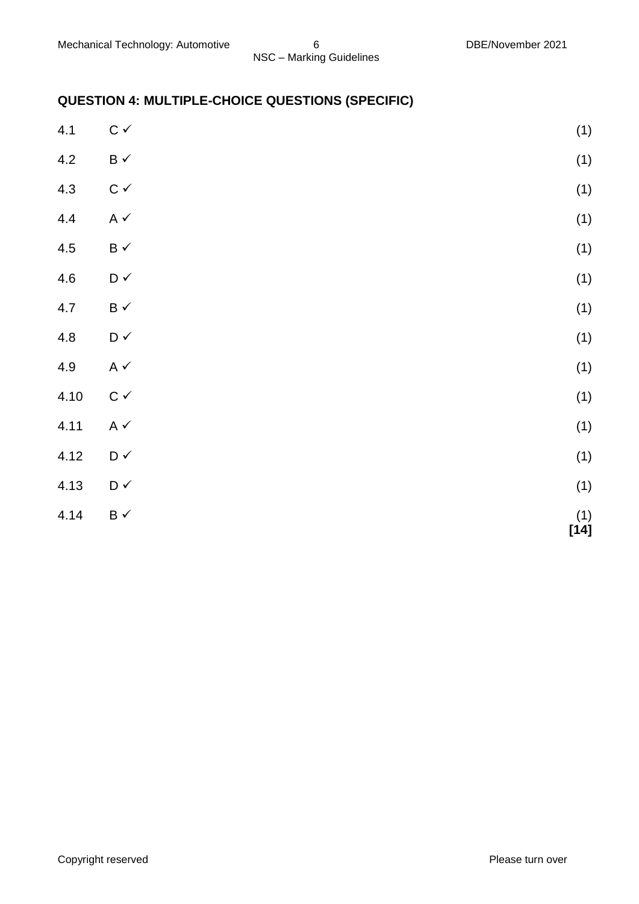# **QUESTION 4: MULTIPLE-CHOICE QUESTIONS (SPECIFIC)**

| 4.1     | $\mathtt{C}\,\checkmark$          | (1)                                              |
|---------|-----------------------------------|--------------------------------------------------|
| 4.2     | $\mathsf B\prec$                  | (1)                                              |
| 4.3     | $\mathtt{C}\,\checkmark$          | (1)                                              |
| 4.4     | A $\checkmark$                    | (1)                                              |
| $4.5\,$ | $\mathsf B\prec$                  | (1)                                              |
| $4.6\,$ | $\mathsf{D} \mathrel{\checkmark}$ | (1)                                              |
| 4.7     | $\mathsf B\prec$                  | (1)                                              |
| $4.8\,$ | $\mathsf{D} \mathrel{\checkmark}$ | (1)                                              |
| 4.9     | A $\checkmark$                    | (1)                                              |
| 4.10    | $\mathtt{C}\,\checkmark$          | (1)                                              |
| 4.11    | A $\checkmark$                    | (1)                                              |
| 4.12    | $\mathsf{D} \mathrel{\checkmark}$ | (1)                                              |
| 4.13    | $\mathsf{D} \mathrel{\checkmark}$ | (1)                                              |
| 4.14    | $\mathsf B\prec$                  | $\begin{array}{c} (1) \\ {\bf [14]} \end{array}$ |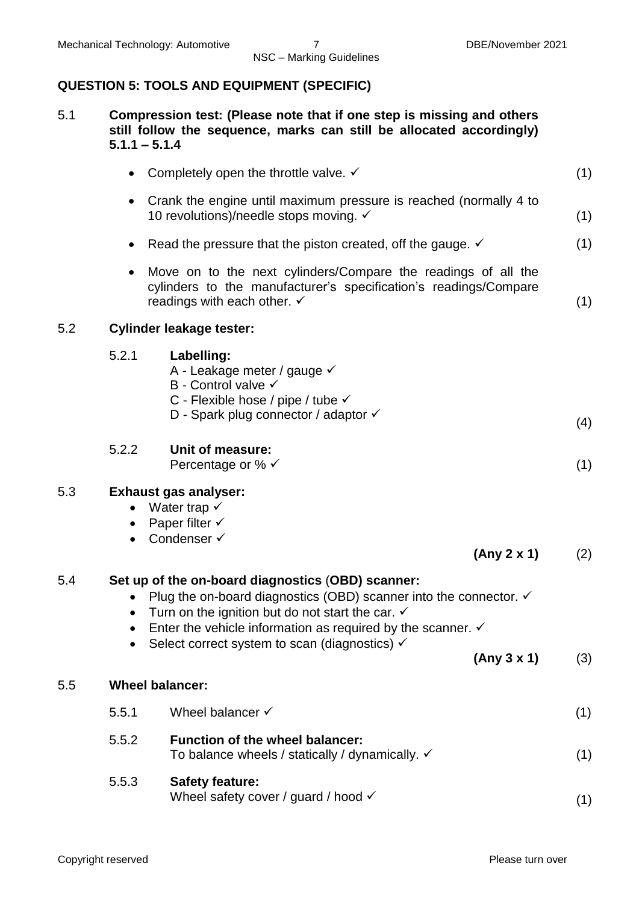# **QUESTION 5: TOOLS AND EQUIPMENT (SPECIFIC)**

| 5.1 | Compression test: (Please note that if one step is missing and others |
|-----|-----------------------------------------------------------------------|
|     | still follow the sequence, marks can still be allocated accordingly)  |
|     | $5.1.1 - 5.1.4$                                                       |

|     | $\bullet$                           | Completely open the throttle valve. $\checkmark$                                                                                                                                                                                                                                                                                                      | (1) |
|-----|-------------------------------------|-------------------------------------------------------------------------------------------------------------------------------------------------------------------------------------------------------------------------------------------------------------------------------------------------------------------------------------------------------|-----|
|     |                                     | Crank the engine until maximum pressure is reached (normally 4 to<br>10 revolutions)/needle stops moving. ✓                                                                                                                                                                                                                                           | (1) |
|     | $\bullet$                           | Read the pressure that the piston created, off the gauge. $\checkmark$                                                                                                                                                                                                                                                                                | (1) |
|     |                                     | Move on to the next cylinders/Compare the readings of all the<br>cylinders to the manufacturer's specification's readings/Compare<br>readings with each other. $\checkmark$                                                                                                                                                                           | (1) |
| 5.2 |                                     | <b>Cylinder leakage tester:</b>                                                                                                                                                                                                                                                                                                                       |     |
|     | 5.2.1                               | Labelling:<br>A - Leakage meter / gauge √<br>B - Control valve √<br>C - Flexible hose / pipe / tube √<br>D - Spark plug connector / adaptor √                                                                                                                                                                                                         | (4) |
|     | 5.2.2                               | <b>Unit of measure:</b><br>Percentage or % $\checkmark$                                                                                                                                                                                                                                                                                               | (1) |
| 5.3 | $\bullet$<br>$\bullet$              | <b>Exhaust gas analyser:</b><br>Water trap $\checkmark$<br>Paper filter $\checkmark$<br>Condenser √<br>(Any 2 x 1)                                                                                                                                                                                                                                    | (2) |
| 5.4 | $\bullet$<br>$\bullet$<br>$\bullet$ | Set up of the on-board diagnostics (OBD) scanner:<br>Plug the on-board diagnostics (OBD) scanner into the connector. $\checkmark$<br>Turn on the ignition but do not start the car. $\checkmark$<br>Enter the vehicle information as required by the scanner. $\checkmark$<br>Select correct system to scan (diagnostics) $\checkmark$<br>(Any 3 x 1) | (3) |
| 5.5 |                                     | <b>Wheel balancer:</b>                                                                                                                                                                                                                                                                                                                                |     |
|     | 5.5.1                               | Wheel balancer $\checkmark$                                                                                                                                                                                                                                                                                                                           | (1) |
|     | 5.5.2                               | <b>Function of the wheel balancer:</b><br>To balance wheels / statically / dynamically. $\checkmark$                                                                                                                                                                                                                                                  | (1) |
|     | 5.5.3                               | <b>Safety feature:</b><br>Wheel safety cover / guard / hood $\checkmark$                                                                                                                                                                                                                                                                              | (1) |
|     |                                     |                                                                                                                                                                                                                                                                                                                                                       |     |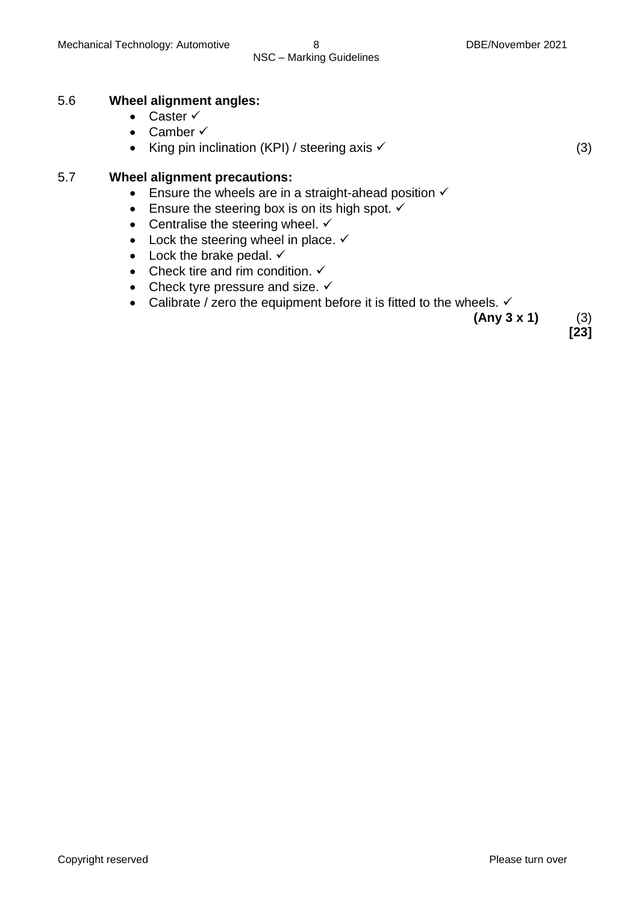#### 5.6 **Wheel alignment angles:**

- Caster  $\checkmark$
- Camber  $\checkmark$
- King pin inclination (KPI) / steering axis  $\checkmark$  (3)

#### 5.7 **Wheel alignment precautions:**

- **Ensure the wheels are in a straight-ahead position**  $\checkmark$
- Ensure the steering box is on its high spot.  $\checkmark$
- Centralise the steering wheel.  $\checkmark$
- Lock the steering wheel in place.  $\checkmark$
- $\bullet$  Lock the brake pedal.  $\checkmark$
- Check tire and rim condition.  $\checkmark$
- Check tyre pressure and size.  $\checkmark$
- Calibrate / zero the equipment before it is fitted to the wheels.  $\checkmark$

**(Any 3 x 1)** (3)

**[23]**

Copyright reserved **Please** turn over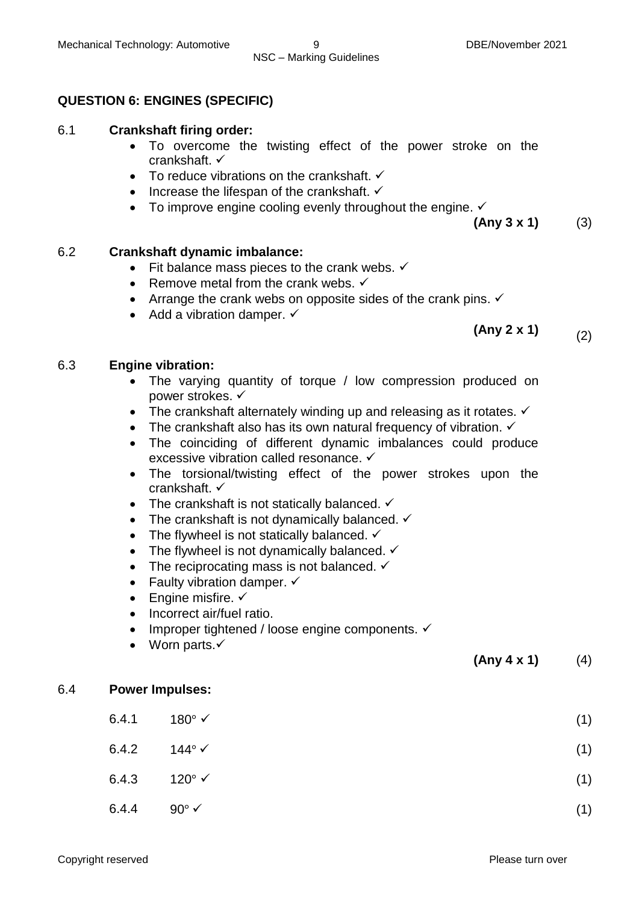#### **QUESTION 6: ENGINES (SPECIFIC)**

#### 6.1 **Crankshaft firing order:**

- To overcome the twisting effect of the power stroke on the crankshaft.
- $\bullet$  To reduce vibrations on the crankshaft.  $\checkmark$
- $\bullet$  Increase the lifespan of the crankshaft.  $\checkmark$
- $\bullet$  To improve engine cooling evenly throughout the engine.  $\checkmark$

**(Any 3 x 1)** (3)

#### 6.2 **Crankshaft dynamic imbalance:**

- Fit balance mass pieces to the crank webs.  $\checkmark$
- Remove metal from the crank webs.  $\checkmark$
- Arrange the crank webs on opposite sides of the crank pins.  $\checkmark$
- $\bullet$  Add a vibration damper.  $\checkmark$

**(Any 2 x 1)** (2)

#### 6.3 **Engine vibration:**

- The varying quantity of torque / low compression produced on power strokes. ✓
- The crankshaft alternately winding up and releasing as it rotates.  $\checkmark$
- The crankshaft also has its own natural frequency of vibration.  $\checkmark$
- The coinciding of different dynamic imbalances could produce excessive vibration called resonance. ✓
- The torsional/twisting effect of the power strokes upon the crankshaft.
- The crankshaft is not statically balanced.  $\checkmark$
- The crankshaft is not dynamically balanced.  $\checkmark$
- The flywheel is not statically balanced.  $\checkmark$
- The flywheel is not dynamically balanced.  $\checkmark$
- The reciprocating mass is not balanced.  $\checkmark$
- Faulty vibration damper.  $\checkmark$
- $\bullet$  Engine misfire.  $\checkmark$
- Incorrect air/fuel ratio.
- $\bullet$  Improper tightened / loose engine components.  $\checkmark$
- $\bullet$  Worn parts. $\checkmark$

**(Any 4 x 1)** (4)

#### 6.4 **Power Impulses:**

 $6.4.1$  180°  $\checkmark$  (1)  $6.4.2$   $144^{\circ}$   $\checkmark$  (1)  $6.4.3$  120°  $\checkmark$  (1)  $6.4.4$  90°  $\checkmark$  (1)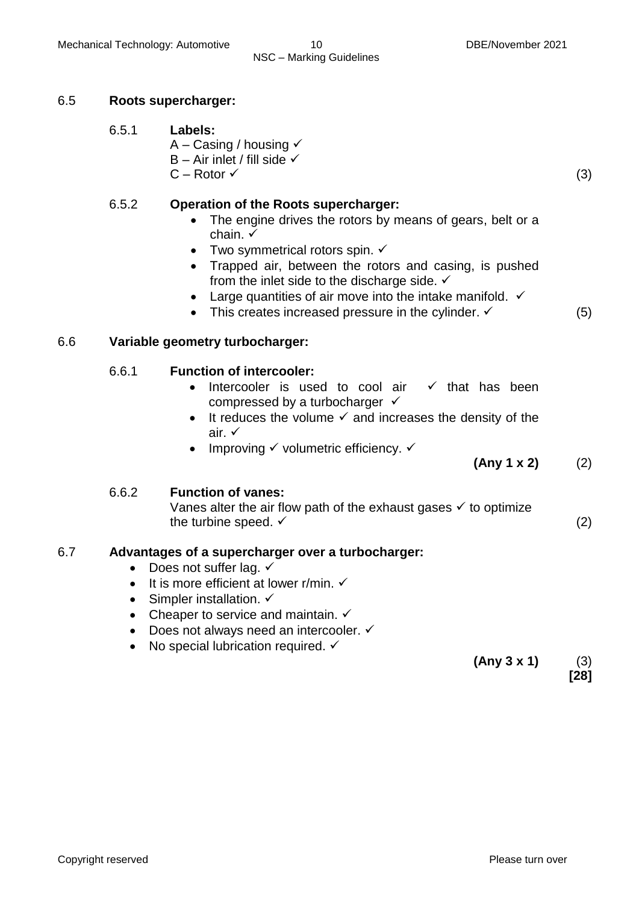#### 6.5 **Roots supercharger:**

- 6.5.1 **Labels:**
	- A Casing / housing  $\checkmark$  $B - Air$  inlet / fill side  $\checkmark$ 
		- $C Rotor \checkmark$  (3)

#### 6.5.2 **Operation of the Roots supercharger:**

- The engine drives the rotors by means of gears, belt or a chain.  $\checkmark$
- Two symmetrical rotors spin.  $\checkmark$
- Trapped air, between the rotors and casing, is pushed from the inlet side to the discharge side.  $\checkmark$
- Large quantities of air move into the intake manifold.  $\checkmark$
- This creates increased pressure in the cylinder.  $\checkmark$  (5)

#### 6.6 **Variable geometry turbocharger:**

#### 6.6.1 **Function of intercooler:**

- $\bullet$  Intercooler is used to cool air  $\checkmark$  that has been compressed by a turbocharger  $\checkmark$
- $\bullet$  It reduces the volume  $\checkmark$  and increases the density of the air.
- Improving  $\checkmark$  volumetric efficiency.  $\checkmark$

#### **(Any 1 x 2)** (2)

#### 6.6.2 **Function of vanes:**

Vanes alter the air flow path of the exhaust gases  $\checkmark$  to optimize the turbine speed.  $\checkmark$  (2)

#### 6.7 **Advantages of a supercharger over a turbocharger:**

- Does not suffer lag.  $\checkmark$
- $\bullet$  It is more efficient at lower r/min.  $\checkmark$
- Simpler installation.  $\checkmark$
- Cheaper to service and maintain.  $\checkmark$
- Does not always need an intercooler.  $\checkmark$
- No special lubrication required.  $\checkmark$

**(Any 3 x 1)** (3) **[28]**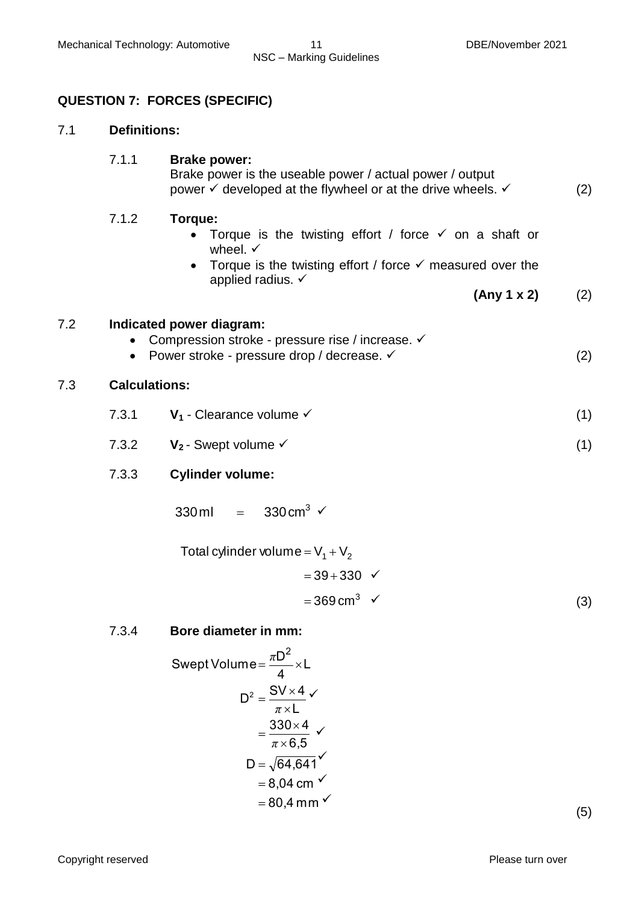#### **QUESTION 7: FORCES (SPECIFIC)**

#### 7.1 **Definitions:**

#### 7.1.1 **Brake power:**

Brake power is the useable power / actual power / output power  $\checkmark$  developed at the flywheel or at the drive wheels.  $\checkmark$  (2)

#### 7.1.2 **Torque:**

- Torque is the twisting effort / force  $\checkmark$  on a shaft or wheel.  $\checkmark$
- Torque is the twisting effort / force  $\checkmark$  measured over the applied radius.  $\checkmark$

**(Any 1 x 2)** (2)

#### 7.2 **Indicated power diagram:**

- Compression stroke pressure rise / increase.  $\checkmark$
- Power stroke pressure drop / decrease.  $\checkmark$  (2)

#### 7.3 **Calculations:**

- 7.3.1  $V_1$  Clearance volume  $\checkmark$  (1)
- 7.3.2  $V_2$  Swept volume  $\checkmark$  (1)

#### 7.3.3 **Cylinder volume:**

 $3\checkmark$  $330 \text{ ml} =$ 

Total cylinder volume =  $V_1 + V_2$ 

 $=369 \text{ cm}^3 \checkmark$  $= 39 + 330$   $\checkmark$ (3)

#### 7.3.4 **Bore diameter in mm:**

Swept Volume =

\n
$$
\frac{\pi D^{2}}{4} \times L
$$
\n
$$
D^{2} = \frac{SV \times 4}{\pi \times L}
$$
\n
$$
= \frac{330 \times 4}{\pi \times 6.5}
$$
\n
$$
D = \sqrt{64.641} \times \sqrt{64.641} \times \sqrt{64.641} \times \sqrt{64.641} \times \sqrt{64.641} \times \sqrt{64.641} \times \sqrt{64.641} \times \sqrt{64.641} \times \sqrt{64.641} \times \sqrt{64.641} \times \sqrt{64.641} \times \sqrt{64.641} \times \sqrt{64.641} \times \sqrt{64.641} \times \sqrt{64.641} \times \sqrt{64.641} \times \sqrt{64.641} \times \sqrt{64.641} \times \sqrt{64.641} \times \sqrt{64.641} \times \sqrt{64.641} \times \sqrt{64.641} \times \sqrt{64.641} \times \sqrt{64.641} \times \sqrt{64.641} \times \sqrt{64.641} \times \sqrt{64.641} \times \sqrt{64.641} \times \sqrt{64.641} \times \sqrt{64.641} \times \sqrt{64.641} \times \sqrt{64.641} \times \sqrt{64.641} \times \sqrt{64.641} \times \sqrt{64.641} \times \sqrt{64.641} \times \sqrt{64.641} \times \sqrt{64.641} \times \sqrt{64.641} \times \sqrt{64.641} \times \sqrt{64.641} \times \sqrt{64.641} \times \sqrt{64.641} \times \sqrt{64.641} \times \sqrt{64.641} \times \sqrt{64.641} \times \sqrt{64.641} \times \sqrt{64.641} \times \sqrt{64.641} \times \sqrt{64.641} \times \sqrt{64.641} \times \sqrt{64.641} \times \sqrt{64.641} \times \sqrt{64.641} \times \sqrt{64.641} \times \sqrt{6
$$

(5)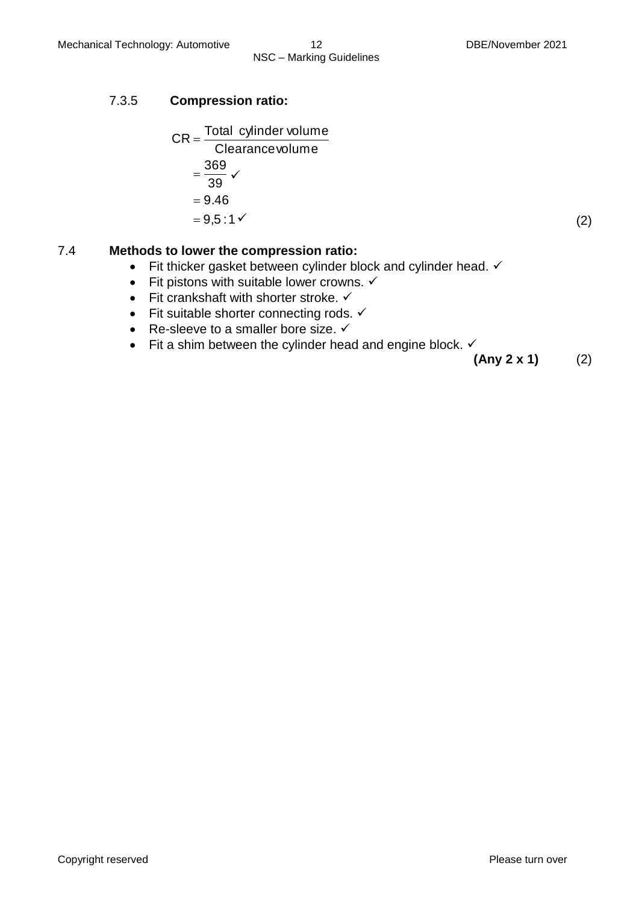#### 7.3.5 **Compression ratio:**

$$
CR = \frac{\text{Total cylinder volume}}{\text{Clearance volume}}
$$
  
=  $\frac{369}{39}$    
= 9.46  
= 9.5:1   
(2)

#### 7.4 **Methods to lower the compression ratio:**

- Fit thicker gasket between cylinder block and cylinder head.  $\checkmark$
- Fit pistons with suitable lower crowns.  $\checkmark$
- $\bullet$  Fit crankshaft with shorter stroke.  $\checkmark$
- Fit suitable shorter connecting rods.  $\checkmark$
- Re-sleeve to a smaller bore size.  $\checkmark$
- Fit a shim between the cylinder head and engine block.  $\checkmark$

**(Any 2 x 1)** (2)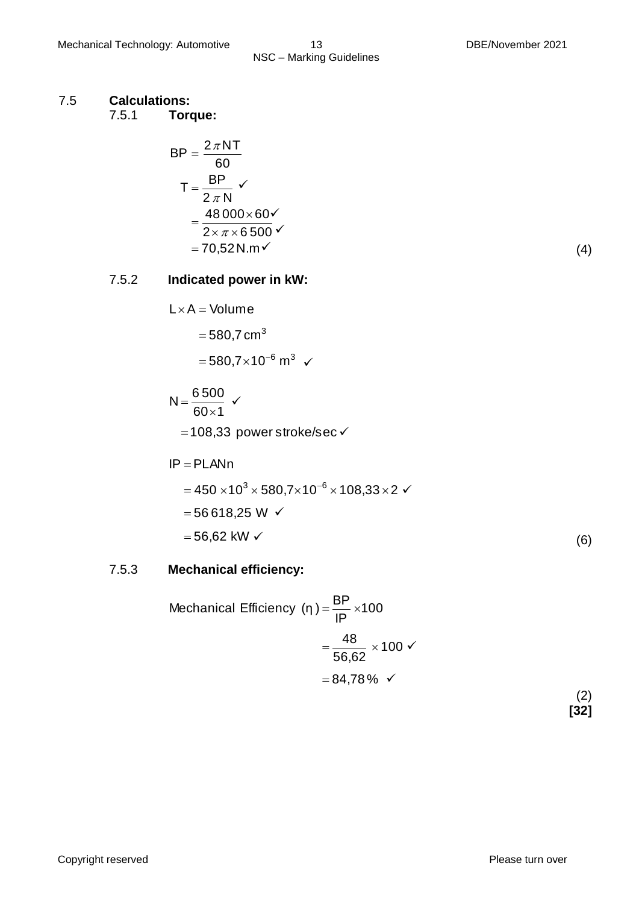#### 7.5 **Calculations:**

7.5.1 **Torque:**

$$
BP = \frac{2\pi NT}{60}
$$
  
\n
$$
T = \frac{BP}{2\pi N} \checkmark
$$
  
\n
$$
= \frac{48000 \times 60 \checkmark}{2 \times \pi \times 6500 \checkmark}
$$
  
\n= 70,52 N.m\checkmark

$$
^{(4)}
$$

# 7.5.2 **Indicated power in kW:**

$$
L \times A = \text{Volume}
$$
  
= 580,7 cm<sup>3</sup>  
= 580,7×10<sup>-6</sup> m<sup>3</sup>

$$
N = \frac{6\,500}{60 \times 1} \checkmark
$$
  
= 108,33 power stroke/sec\checkmark

$$
IP = PLANN
$$
  
= 450 × 10<sup>3</sup> × 580,7×10<sup>-6</sup> × 108,33×2  
= 56 618,25 W  
= 56,62 kW

#### 7.5.3 **Mechanical efficiency:**

Mechanical Efficiency 
$$
(\eta) = \frac{BP}{IP} \times 100
$$
  
=  $\frac{48}{56,62} \times 100$    
= 84,78 %

(2) **[32]**

(6)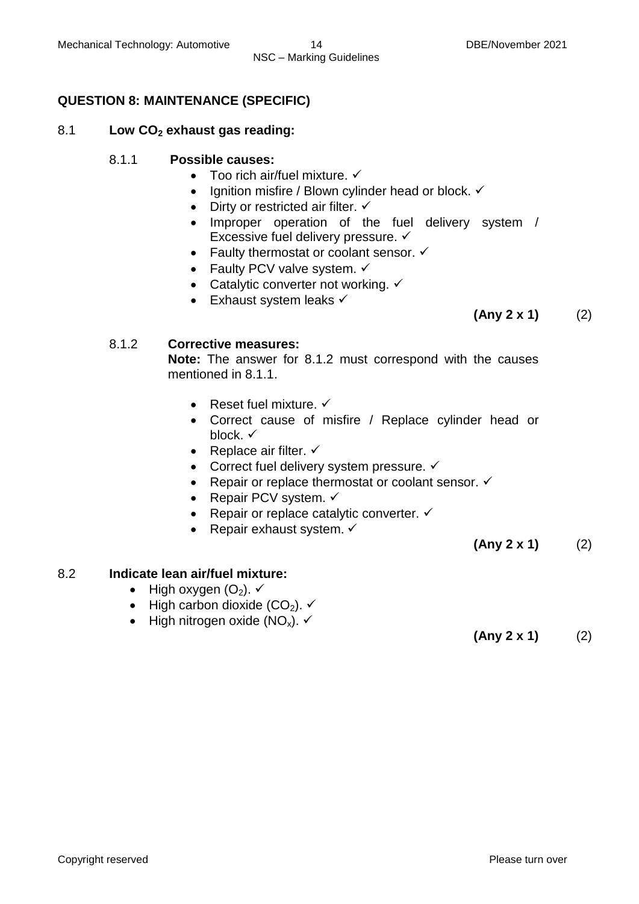# **QUESTION 8: MAINTENANCE (SPECIFIC)**

#### 8.1 **Low CO<sup>2</sup> exhaust gas reading:**

#### 8.1.1 **Possible causes:**

- $\bullet$  Too rich air/fuel mixture.  $\checkmark$
- $\bullet$  Ignition misfire / Blown cylinder head or block.  $\checkmark$
- Dirty or restricted air filter.  $\checkmark$
- Improper operation of the fuel delivery system / Excessive fuel delivery pressure. ✓
- Faulty thermostat or coolant sensor.  $\checkmark$
- Faulty PCV valve system.  $\checkmark$
- Catalytic converter not working.  $\checkmark$
- $\bullet$  Exhaust system leaks  $\checkmark$

# **(Any 2 x 1)** (2)

#### 8.1.2 **Corrective measures:**

**Note:** The answer for 8.1.2 must correspond with the causes mentioned in 8.1.1.

- Reset fuel mixture.  $\checkmark$
- Correct cause of misfire / Replace cylinder head or block.  $\checkmark$
- Replace air filter.  $\checkmark$
- Correct fuel delivery system pressure.  $\checkmark$
- Repair or replace thermostat or coolant sensor.  $\checkmark$
- Repair PCV system.  $\checkmark$
- Repair or replace catalytic converter.  $\checkmark$
- Repair exhaust system.  $\checkmark$

**(Any 2 x 1)** (2)

# 8.2 **Indicate lean air/fuel mixture:**

- High oxygen  $(O_2)$ .  $\checkmark$
- $\bullet$  High carbon dioxide (CO<sub>2</sub>).  $\checkmark$
- High nitrogen oxide  $(NO_x)$ .  $\checkmark$

**(Any 2 x 1)** (2)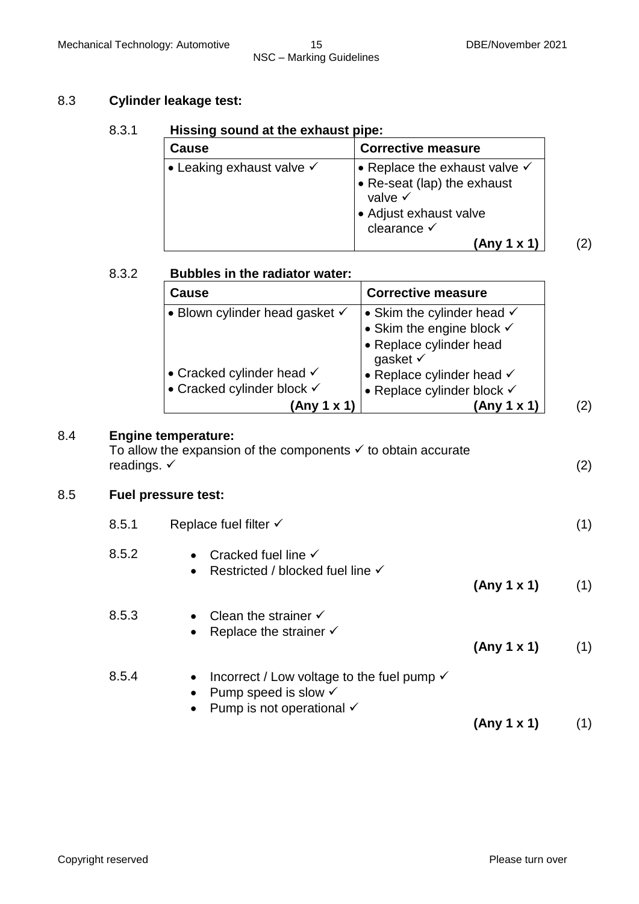$(2)$ 

#### 8.3 **Cylinder leakage test:**

#### 8.3.1 **Hissing sound at the exhaust pipe:**

| <b>Cause</b>                         | <b>Corrective measure</b>                                                                                                                             |
|--------------------------------------|-------------------------------------------------------------------------------------------------------------------------------------------------------|
| • Leaking exhaust valve $\checkmark$ | • Replace the exhaust valve $\checkmark$<br>• Re-seat (lap) the exhaust<br>valve $\checkmark$<br>• Adjust exhaust valve<br>clearance √<br>(Any 1 x 1) |

|     | 8.3.2                      | <b>Bubbles in the radiator water:</b>                                                                                                 |                                                                                                                 |  |
|-----|----------------------------|---------------------------------------------------------------------------------------------------------------------------------------|-----------------------------------------------------------------------------------------------------------------|--|
|     |                            | <b>Cause</b>                                                                                                                          | <b>Corrective measure</b>                                                                                       |  |
|     |                            | • Blown cylinder head gasket $\checkmark$                                                                                             | • Skim the cylinder head $\checkmark$<br>• Skim the engine block $\checkmark$<br>• Replace cylinder head        |  |
|     |                            | • Cracked cylinder head $\checkmark$<br>• Cracked cylinder block √<br>(Any 1 x 1)                                                     | gasket √<br>• Replace cylinder head $\checkmark$<br>• Replace cylinder block $\checkmark$<br>(2)<br>(Any 1 x 1) |  |
| 8.4 | readings. $\checkmark$     | <b>Engine temperature:</b><br>To allow the expansion of the components $\checkmark$ to obtain accurate                                | (2)                                                                                                             |  |
| 8.5 | <b>Fuel pressure test:</b> |                                                                                                                                       |                                                                                                                 |  |
|     | 8.5.1                      | Replace fuel filter $\checkmark$                                                                                                      | (1)                                                                                                             |  |
|     | 8.5.2                      | Cracked fuel line $\checkmark$<br>$\bullet$<br>Restricted / blocked fuel line √<br>$\bullet$                                          | (Any 1 x 1)<br>(1)                                                                                              |  |
|     | 8.5.3                      | Clean the strainer $\checkmark$<br>$\bullet$<br>Replace the strainer $\checkmark$                                                     | (Any 1 x 1)<br>(1)                                                                                              |  |
|     | 8.5.4                      | Incorrect / Low voltage to the fuel pump $\checkmark$<br>٠<br>Pump speed is slow $\checkmark$<br>Pump is not operational $\checkmark$ | (1)<br>(Any 1 x 1)                                                                                              |  |

8.5 **Fuel pressure test:**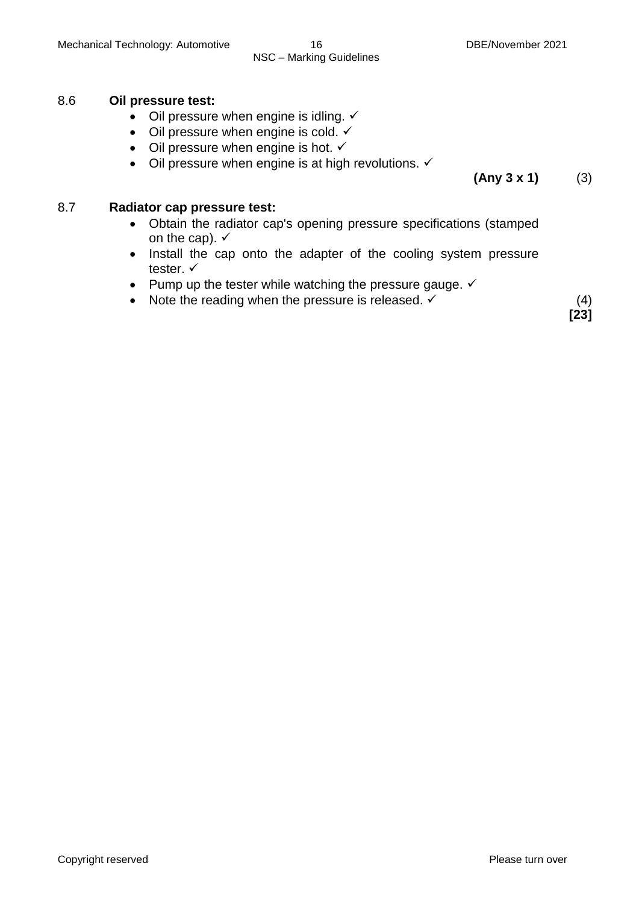# 8.6 **Oil pressure test:**

- $\bullet$  Oil pressure when engine is idling.  $\checkmark$
- Oil pressure when engine is cold.  $\checkmark$
- Oil pressure when engine is hot.  $\checkmark$
- $\bullet$  Oil pressure when engine is at high revolutions.  $\checkmark$

**(Any 3 x 1)** (3)

#### 8.7 **Radiator cap pressure test:**

- Obtain the radiator cap's opening pressure specifications (stamped on the cap).  $\checkmark$
- Install the cap onto the adapter of the cooling system pressure tester. ✓
- Pump up the tester while watching the pressure gauge.  $\checkmark$
- Note the reading when the pressure is released.  $\checkmark$  (4)

**[23]**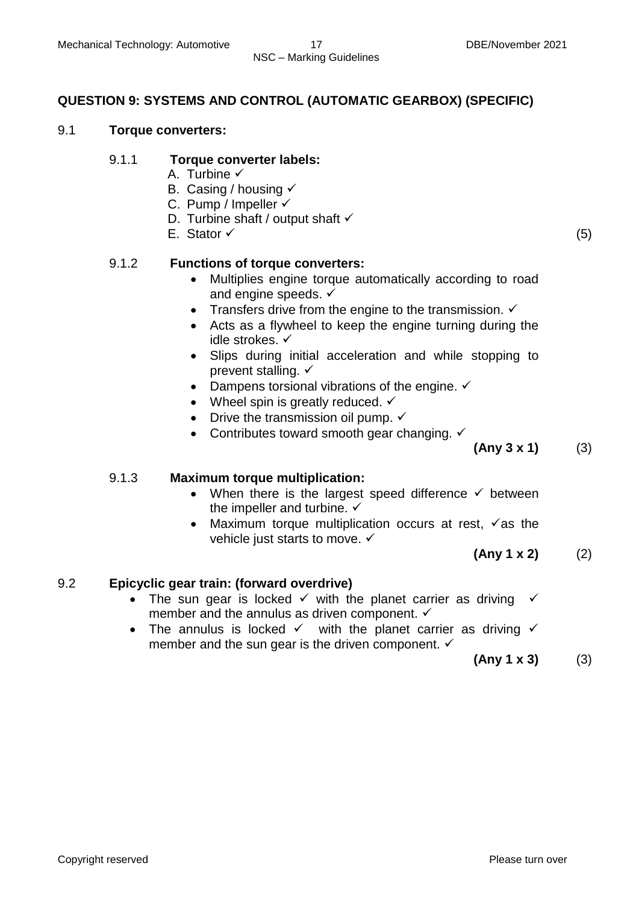#### **QUESTION 9: SYSTEMS AND CONTROL (AUTOMATIC GEARBOX) (SPECIFIC)**

#### 9.1 **Torque converters:**

#### 9.1.1 **Torque converter labels:**

- A. Turbine √
- B. Casing / housing  $\checkmark$
- C. Pump / Impeller  $\checkmark$
- D. Turbine shaft / output shaft  $\checkmark$
- E. Stator  $\checkmark$  (5)

#### 9.1.2 **Functions of torque converters:**

- Multiplies engine torque automatically according to road and engine speeds.  $\checkmark$
- Transfers drive from the engine to the transmission.  $\checkmark$
- Acts as a flywheel to keep the engine turning during the idle strokes.
- Slips during initial acceleration and while stopping to prevent stalling.  $\checkmark$
- Dampens torsional vibrations of the engine.  $\checkmark$
- Wheel spin is greatly reduced.  $\checkmark$
- Drive the transmission oil pump.  $\checkmark$
- Contributes toward smooth gear changing.  $\checkmark$

**(Any 3 x 1)** (3)

#### 9.1.3 **Maximum torque multiplication:**

- When there is the largest speed difference  $\checkmark$  between the impeller and turbine.  $\checkmark$
- Maximum torque multiplication occurs at rest,  $\checkmark$  as the vehicle just starts to move.  $\checkmark$

**(Any 1 x 2)** (2)

#### 9.2 **Epicyclic gear train: (forward overdrive)**

- The sun gear is locked  $\checkmark$  with the planet carrier as driving  $\checkmark$ member and the annulus as driven component.  $\checkmark$
- The annulus is locked  $\checkmark$  with the planet carrier as driving  $\checkmark$ member and the sun gear is the driven component.  $\checkmark$

**(Any 1 x 3)** (3)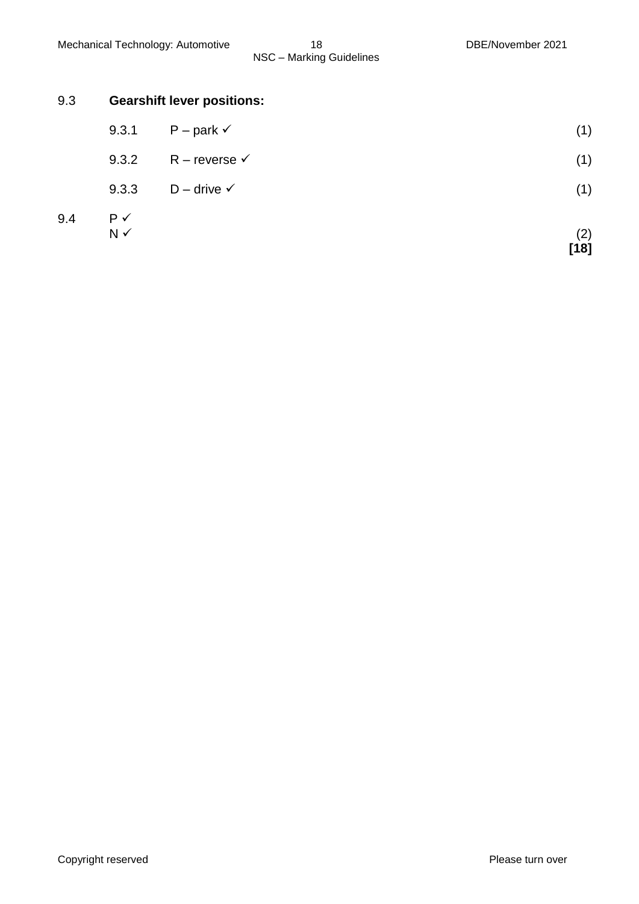#### 9.3 **Gearshift lever positions:**

- 9.3.1 P park  $(1)$
- 9.3.2 R reverse  $\checkmark$  (1)
- 9.3.3 D drive  $\checkmark$  (1)
- 9.4  $P \checkmark$ <br>N  $\checkmark$  $N \checkmark$  (2)

**[18]**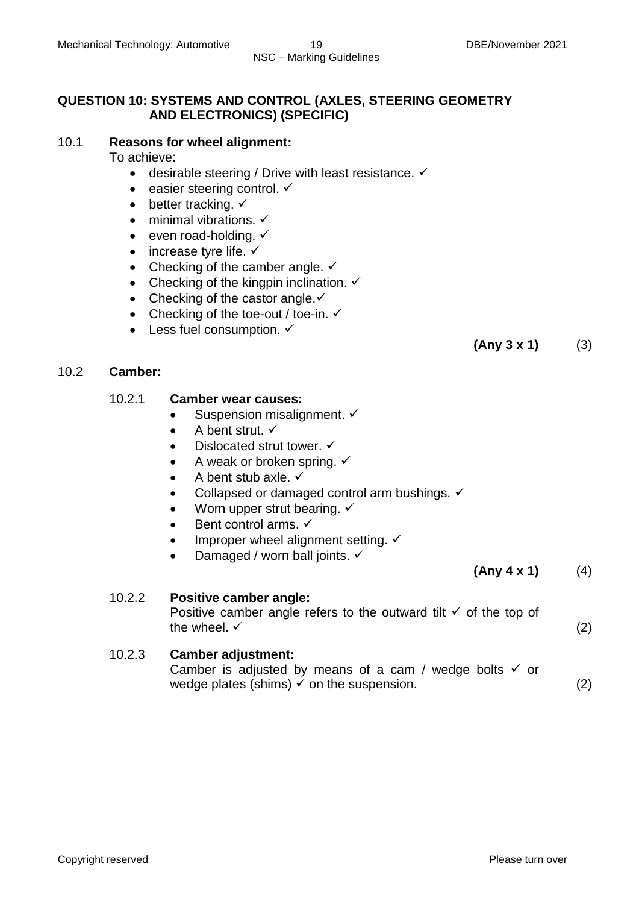#### **QUESTION 10: SYSTEMS AND CONTROL (AXLES, STEERING GEOMETRY AND ELECTRONICS) (SPECIFIC)**

#### 10.1 **Reasons for wheel alignment:**

To achieve:

- $\bullet$  desirable steering / Drive with least resistance.  $\checkmark$
- $\bullet$  easier steering control.  $\checkmark$
- $\bullet$  better tracking.  $\checkmark$
- $\bullet$  minimal vibrations.  $\checkmark$
- $\bullet$  even road-holding.  $\checkmark$
- $\bullet$  increase tyre life.  $\checkmark$
- Checking of the camber angle.  $\checkmark$
- Checking of the kingpin inclination.  $\checkmark$
- Checking of the castor angle. $\checkmark$
- Checking of the toe-out / toe-in.  $\checkmark$
- $\bullet$  Less fuel consumption.  $\checkmark$

### 10.2 **Camber:**

#### 10.2.1 **Camber wear causes:**

- Suspension misalignment.  $\checkmark$
- $\bullet$  A bent strut.  $\checkmark$
- Dislocated strut tower.  $\checkmark$
- A weak or broken spring.  $\checkmark$
- $\bullet$  A bent stub axle.  $\checkmark$
- Collapsed or damaged control arm bushings.  $\checkmark$
- Worn upper strut bearing.  $\checkmark$
- $\bullet$  Bent control arms.  $\checkmark$
- $\bullet$  Improper wheel alignment setting.  $\checkmark$
- Damaged / worn ball joints.  $\checkmark$

 $(\text{Any } 4 \times 1)$  (4)

# 10.2.2 **Positive camber angle:**

Positive camber angle refers to the outward tilt  $\checkmark$  of the top of the wheel.  $\checkmark$  (2)

# 10.2.3 **Camber adjustment:**

Camber is adjusted by means of a cam / wedge bolts  $\checkmark$  or wedge plates (shims)  $\checkmark$  on the suspension. (2)

**(Any 3 x 1)** (3)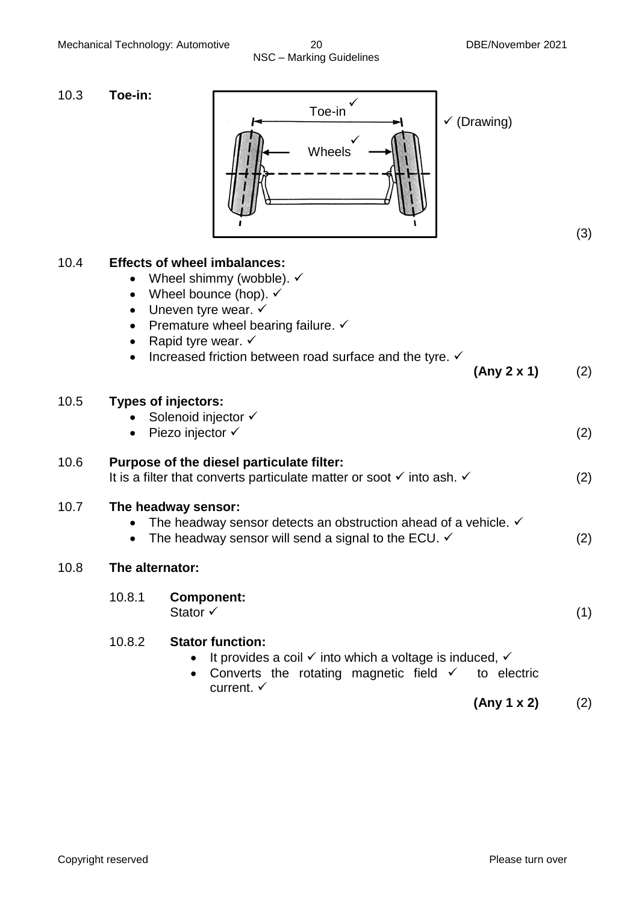| 10.3 | Toe-in:<br>Toe-in<br>$\checkmark$ (Drawing)<br><b>Wheels</b>                                                                                                                                                                                                                                                                                |     |
|------|---------------------------------------------------------------------------------------------------------------------------------------------------------------------------------------------------------------------------------------------------------------------------------------------------------------------------------------------|-----|
|      |                                                                                                                                                                                                                                                                                                                                             | (3) |
| 10.4 | <b>Effects of wheel imbalances:</b><br>Wheel shimmy (wobble). $\checkmark$<br>$\bullet$<br>Wheel bounce (hop). $\checkmark$<br>$\bullet$<br>Uneven tyre wear. $\checkmark$<br>$\bullet$<br>Premature wheel bearing failure. ✓<br>٠<br>Rapid tyre wear. $\checkmark$<br>Increased friction between road surface and the tyre. ✓<br>$\bullet$ |     |
|      | (Any 2 x 1)                                                                                                                                                                                                                                                                                                                                 | (2) |
| 10.5 | <b>Types of injectors:</b><br>Solenoid injector √<br>Piezo injector √<br>$\bullet$                                                                                                                                                                                                                                                          | (2) |
| 10.6 | Purpose of the diesel particulate filter:<br>It is a filter that converts particulate matter or soot $\checkmark$ into ash. $\checkmark$                                                                                                                                                                                                    | (2) |
| 10.7 | The headway sensor:<br>The headway sensor detects an obstruction ahead of a vehicle. $\checkmark$<br>$\bullet$<br>The headway sensor will send a signal to the ECU. $\checkmark$<br>$\bullet$                                                                                                                                               | (2) |
| 10.8 | The alternator:                                                                                                                                                                                                                                                                                                                             |     |
|      | 10.8.1<br><b>Component:</b><br>Stator $\checkmark$                                                                                                                                                                                                                                                                                          | (1) |
|      | 10.8.2<br><b>Stator function:</b><br>It provides a coil $\checkmark$ into which a voltage is induced, $\checkmark$<br>Converts the rotating magnetic field $\checkmark$<br>to electric<br>current. $\checkmark$                                                                                                                             |     |
|      | (Any 1 x 2)                                                                                                                                                                                                                                                                                                                                 | (2) |